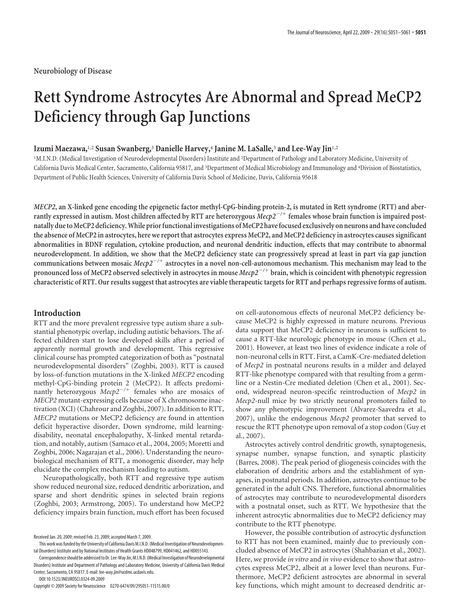# **Rett Syndrome Astrocytes Are Abnormal and Spread MeCP2 Deficiency through Gap Junctions**

## **Izumi Maezawa,**1,2 **Susan Swanberg,**<sup>3</sup> **Danielle Harvey,**<sup>4</sup> **Janine M. LaSalle,**<sup>3</sup> **and Lee-Way Jin**1,2

<sup>1</sup>M.I.N.D. (Medical Investigation of Neurodevelopmental Disorders) Institute and <sup>2</sup>Department of Pathology and Laboratory Medicine, University of California Davis Medical Center, Sacramento, California 95817, and <sup>3</sup> Department of Medical Microbiology and Immunology and <sup>4</sup> Division of Biostatistics, Department of Public Health Sciences, University of California Davis School of Medicine, Davis, California 95618

*MECP2***, an X-linked gene encoding the epigenetic factor methyl-CpG-binding protein-2, is mutated in Rett syndrome (RTT) and aberrantly expressed in autism. Most children affected by RTT are heterozygous** *Mecp2/*- **females whose brain function is impaired postnatally dueto MeCP2 deficiency.While priorfunctional investigations of MeCP2 havefocused exclusively on neurons and have concluded the absence of MeCP2 in astrocytes, here we report that astrocytes express MeCP2, and MeCP2 deficiency in astrocytes causes significant abnormalities in BDNF regulation, cytokine production, and neuronal dendritic induction, effects that may contribute to abnormal neurodevelopment. In addition, we show that the MeCP2 deficiency state can progressively spread at least in part via gap junction communications between mosaic** *Mecp2/*- **astrocytes in a novel non-cell-autonomous mechanism. This mechanism may lead to the pronounced loss of MeCP2 observed selectively in astrocytes in mouse** *Mecp2/*- **brain, which is coincident with phenotypic regression characteristic of RTT. Our results suggest that astrocytes are viable therapeutic targets for RTT and perhaps regressive forms of autism.**

## **Introduction**

RTT and the more prevalent regressive type autism share a substantial phenotypic overlap, including autistic behaviors. The affected children start to lose developed skills after a period of apparently normal growth and development. This regressive clinical course has prompted categorization of both as "postnatal neurodevelopmental disorders" (Zoghbi, 2003). RTT is caused by loss-of-function mutations in the X-linked *MECP2* encoding methyl-CpG-binding protein 2 (MeCP2). It affects predominantly heterozygous *Mecp2<sup>-/+</sup>* females who are mosaics of *MECP2* mutant-expressing cells because of X chromosome inactivation (XCI) (Chahrour and Zoghbi, 2007). In addition to RTT, *MECP2* mutations or MeCP2 deficiency are found in attention deficit hyperactive disorder, Down syndrome, mild learningdisability, neonatal encephalopathy, X-linked mental retardation, and notably, autism (Samaco et al., 2004, 2005; Moretti and Zoghbi, 2006; Nagarajan et al., 2006). Understanding the neurobiological mechanism of RTT, a monogenic disorder, may help elucidate the complex mechanism leading to autism.

Neuropathologically, both RTT and regressive type autism show reduced neuronal size, reduced dendritic arborization, and sparse and short dendritic spines in selected brain regions (Zoghbi, 2003; Armstrong, 2005). To understand how MeCP2 deficiency impairs brain function, much effort has been focused

DOI:10.1523/JNEUROSCI.0324-09.2009

on cell-autonomous effects of neuronal MeCP2 deficiency because MeCP2 is highly expressed in mature neurons. Previous data support that MeCP2 deficiency in neurons is sufficient to cause a RTT-like neurologic phenotype in mouse (Chen et al., 2001). However, at least two lines of evidence indicate a role of non-neuronal cells in RTT. First, a CamK-Cre-mediated deletion of *Mecp2* in postnatal neurons results in a milder and delayed RTT-like phenotype compared with that resulting from a germline or a Nestin-Cre mediated deletion (Chen et al., 2001). Second, widespread neuron-specific reintroduction of *Mecp2* in *Mecp2*-null mice by two strictly neuronal promoters failed to show any phenotypic improvement (Alvarez-Saavedra et al., 2007), unlike the endogenous *Mecp2* promoter that served to rescue the RTT phenotype upon removal of a stop codon (Guy et al., 2007).

Astrocytes actively control dendritic growth, synaptogenesis, synapse number, synapse function, and synaptic plasticity (Barres, 2008). The peak period of gliogenesis coincides with the elaboration of dendritic arbors and the establishment of synapses, in postnatal periods. In addition, astrocytes continue to be generated in the adult CNS. Therefore, functional abnormalities of astrocytes may contribute to neurodevelopmental disorders with a postnatal onset, such as RTT. We hypothesize that the inherent astrocytic abnormalities due to MeCP2 deficiency may contribute to the RTT phenotype.

However, the possible contribution of astrocytic dysfunction to RTT has not been examined, mainly due to previously concluded absence of MeCP2 in astrocytes (Shahbazian et al., 2002). Here, we provide *in vitro* and *in vivo* evidence to show that astrocytes express MeCP2, albeit at a lower level than neurons. Furthermore, MeCP2 deficient astrocytes are abnormal in several key functions, which might amount to decreased dendritic ar-

Received Jan. 20, 2009; revised Feb. 23, 2009; accepted March 7, 2009.

This work was funded by the University of California Davis M.I.N.D. (Medical Investigation of Neurodevelopmental Disorders) Institute and by National Institutes of Health Grants HD048799, HD041462, and HD055143.

Correspondence should be addressed to Dr. Lee-Way Jin, M.I.N.D. (Medical Investigation of Neurodevelopmental Disorders) Institute and Department of Pathology and Laboratory Medicine, University of California Davis Medical Center, Sacramento, CA 95817. E-mail: lee-way.jin@ucdmc.ucdavis.edu.

Copyright © 2009 Society for Neuroscience 0270-6474/09/295051-11\$15.00/0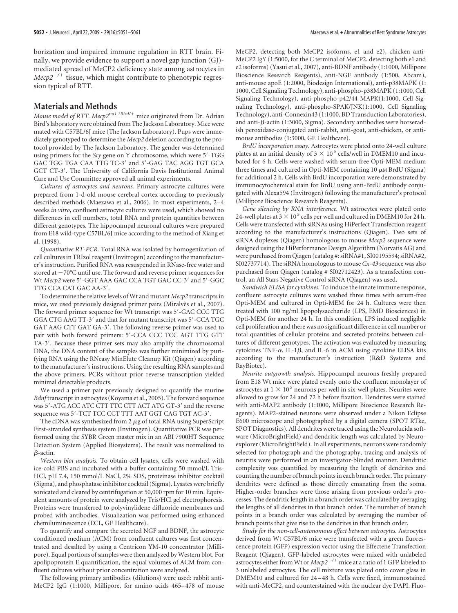borization and impaired immune regulation in RTT brain. Finally, we provide evidence to support a novel gap junction (GJ) mediated spread of MeCP2 deficiency state among astrocytes in *Mecp2<sup>-/+</sup>* tissue, which might contribute to phenotypic regression typical of RTT.

## **Materials and Methods**

*Mouse model of RTT. Mecp2tm1.1Bird/*- mice originated from Dr. Adrian Bird's laboratory were obtained from The Jackson Laboratory. Mice were mated with C57BL/6J mice (The Jackson Laboratory). Pups were immediately genotyped to determine the *Mecp2* deletion according to the protocol provided by The Jackson Laboratory. The gender was determined using primers for the *Sry* gene on Y chromosome, which were 5'-TGG GAC TGG TGA CAA TTG TC-3' and 5'-GAG TAC AGG TGT GCA GCT CT-3'. The University of California Davis Institutional Animal Care and Use Committee approved all animal experiments.

*Cultures of astrocytes and neurons.* Primary astrocyte cultures were prepared from 1-d-old mouse cerebral cortex according to previously described methods (Maezawa et al., 2006). In most experiments, 2– 4 weeks *in vitro*, confluent astrocyte cultures were used, which showed no differences in cell numbers, total RNA and protein quantities between different genotypes. The hippocampal neuronal cultures were prepared from E18 wild-type C57BL/6J mice according to the method of Xiang et al. (1998).

*Quantitative RT-PCR.* Total RNA was isolated by homogenization of cell cultures in TRIzol reagent (Invitrogen) according to the manufacturer's instruction. Purified RNA was resuspended in RNase-free water and stored at  $-70^{\circ}$ C until use. The forward and reverse primer sequences for Wt Mecp2 were 5'-GGT AAA GAC CCA TGT GAC CC-3' and 5'-GGC TTG CCA CAT GAC AA-3.

To determine the relative levels of Wt and mutant *Mecp2* transcripts in mice, we used previously designed primer pairs (Miralvès et al., 2007). The forward primer sequence for Wt transcript was 5'-GAC CCC TTG GGA CTG AAG TT-3' and that for mutant transcript was 5'-CCA TGC GAT AAG CTT GAT GA-3'. The following reverse primer was used to pair with both forward primers: 5'-CCA CCC TCC AGT TTG GTT TA-3'. Because these primer sets may also amplify the chromosomal DNA, the DNA content of the samples was further minimized by purifying RNA using the RNeasy MinElute Cleanup Kit (Qiagen) according to the manufacturer's instructions. Using the resulting RNA samples and the above primers, PCRs without prior reverse transcription yielded minimal detectable products.

We used a primer pair previously designed to quantify the murine *Bdnf* transcript in astrocytes (Koyama et al., 2005). The forward sequence was 5'-ATG ACC ATC CTT TTC CTT ACT ATG GT-3' and the reverse sequence was 5'-TCT TCC CCT TTT AAT GGT CAG TGT AC-3'.

The cDNA was synthesized from  $2 \mu$ g of total RNA using SuperScript First-stranded synthesis system (Invitrogen). Quantitative PCR was performed using the SYBR Green master mix in an ABI 7900HT Sequence Detection System (Applied Biosystems). The result was normalized to  $\beta$ -actin.

*Western blot analysis.* To obtain cell lysates, cells were washed with ice-cold PBS and incubated with a buffer containing 50 mmol/L Tris-HCl, pH 7.4, 150 mmol/L NaCl, 2% SDS, proteinase inhibitor cocktail (Sigma), and phosphatase inhibitor cocktail (Sigma). Lysates were briefly sonicated and cleared by centrifugation at 50,000 rpm for 10 min. Equivalent amounts of protein were analyzed by Tris/HCl gel electrophoresis. Proteins were transferred to polyvinylidene difluoride membranes and probed with antibodies. Visualization was performed using enhanced chemiluminescence (ECL, GE Healthcare).

To quantify and compare the secreted NGF and BDNF, the astrocyte conditioned medium (ACM) from confluent cultures was first concentrated and desalted by using a Centricon YM-10 concentrator (Millipore). Equal portions of samples were then analyzed by Western blot. For apolipoprotein E quantification, the equal volumes of ACM from confluent cultures without prior concentration were analyzed.

The following primary antibodies (dilutions) were used: rabbit anti-MeCP2 IgG (1:1000, Millipore, for amino acids 465– 478 of mouse MeCP2, detecting both MeCP2 isoforms, e1 and e2), chicken anti-MeCP2 IgY (1:5000, for the C terminal of MeCP2, detecting both e1 and e2 isoforms) (Yasui et al., 2007), anti-BDNF antibody (1:1000, Millipore Bioscience Research Reagents), anti-NGF antibody (1:500, Abcam), anti-mouse apoE (1:2000, Biodesign International), anti-p38MAPK (1: 1000, Cell Signaling Technology), anti-phospho-p38MAPK (1:1000, Cell Signaling Technology), anti-phospho-p42/44 MAPK(1:1000, Cell Signaling Technology), anti-phospho-SPAK/JNK(1:1000, Cell Signaling Technology), anti-Connexin43 (1:1000, BD Transduction Laboratories), and anti-β-actin (1:3000, Sigma). Secondary antibodies were horseradish peroxidase-conjugated anti-rabbit, anti-goat, anti-chicken, or antimouse antibodies (1:3000, GE Healthcare).

*BrdU incorporation assay.* Astrocytes were plated onto 24-well culture plates at an initial density of 3  $\times$  10  $^{5}$  cells/well in DMEM10 and incubated for 6 h. Cells were washed with serum-free Opti-MEM medium three times and cultured in Opti-MEM containing  $10 \mu M$  BrdU (Sigma) for additional 2 h. Cells with BrdU incorporation were demonstrated by immunocytochemical stain for BrdU using anti-BrdU antibody conjugated with Alexa594 (Invitrogen) following the manufacturer's protocol (Millipore Bioscience Research Reagents).

*Gene silencing by RNA interference.* Wt astrocytes were plated onto 24-well plates at  $3 \times 10^5$  cells per well and cultured in DMEM10 for 24 h. Cells were transfected with siRNAs using HiPerfect Transfection reagent according to the manufacturer's instructions (Qiagen). Two sets of siRNA duplexes (Qiagen) homologous to mouse *Mecp2* sequence were designed using the HiPerformance Design Algorithm (Norvatis AG) and were purchased from Qiagen (catalog #: siRNA#1, SI00195594; siRNA#2, SI02737714). The siRNA homologous to mouse *Cx-43* sequence was also purchased from Qiagen (catalog # SI02712423). As a transfection control, an All Stars Negative Control siRNA (Qiagen) was used.

*Sandwich ELISA for cytokines.* To induce the innate immune response, confluent astrocyte cultures were washed three times with serum-free Opti-MEM and cultured in Opti-MEM for 24 h. Cultures were then treated with 100 ng/ml lipopolysaccharide (LPS, EMD Biosciences) in Opti-MEM for another 24 h. In this condition, LPS induced negligible cell proliferation and there was no significant difference in cell number or total quantities of cellular proteins and secreted proteins between cultures of different genotypes. The activation was evaluated by measuring cytokines TNF- $\alpha$ , IL-1 $\beta$ , and IL-6 in ACM using cytokine ELISA kits according to the manufacturer's instruction (R&D Systems and RayBiotec).

*Neurite outgrowth analysis.* Hippocampal neurons freshly prepared from E18 Wt mice were plated evenly onto the confluent monolayer of astrocytes at  $1 \times 10^5$  neurons per well in six-well plates. Neurites were allowed to grow for 24 and 72 h before fixation. Dendrites were stained with anti-MAP2 antibody (1:1000, Millipore Bioscience Research Reagents). MAP2-stained neurons were observed under a Nikon Eclipse E600 microscope and photographed by a digital camera (SPOT RTke, SPOT Diagnostics). All dendrites were traced using the Neurolucida software (MicroBrightField) and dendritic length was calculated by Neuroexplorer (MicroBrightField). In all experiments, neurons were randomly selected for photograph and the photography, tracing and analysis of neuritis were performed in an investigator-blinded manner. Dendritic complexity was quantified by measuring the length of dendrites and counting the number of branch points in each branch order. The primary dendrites were defined as those directly emanating from the soma. Higher-order branches were those arising from previous order's processes. The dendritic length in a branch order was calculated by averaging the lengths of all dendrites in that branch order. The number of branch points in a branch order was calculated by averaging the number of branch points that give rise to the dendrites in that branch order.

*Study for the non-cell-autonomous effect between astrocytes.* Astrocytes derived from Wt C57BL/6 mice were transfected with a green fluorescence protein (GFP) expression vector using the Effectene Transfection Reagent (Qiagen). GFP-labeled astrocytes were mixed with unlabeled astrocytes either from Wt or *Mecp2<sup>-/+</sup>* mice at a ratio of 1 GFP labeled to 3 unlabeled astrocytes. The cell mixture was plated onto cover glass in DMEM10 and cultured for 24 – 48 h. Cells were fixed, immunostained with anti-MeCP2, and counterstained with the nuclear dye DAPI. Fluo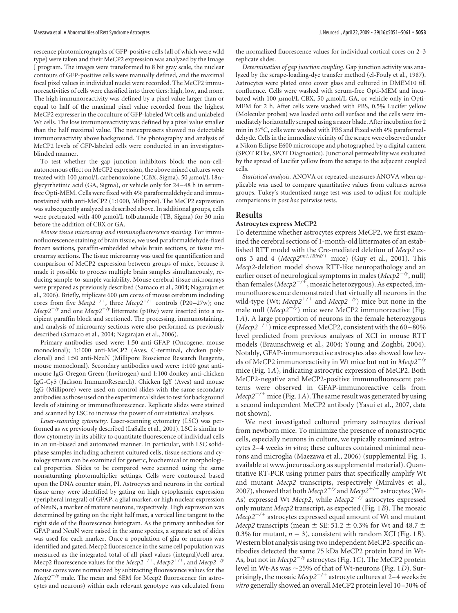rescence photomicrographs of GFP-positive cells (all of which were wild type) were taken and their MeCP2 expression was analyzed by the Image J program. The images were transformed to 8 bit gray scale, the nuclear contours of GFP-positive cells were manually defined, and the maximal focal pixel values in individual nuclei were recorded. The MeCP2 immunoreactivities of cells were classified into three tiers: high, low, and none. The high immunoreactivity was defined by a pixel value larger than or equal to half of the maximal pixel value recorded from the highest MeCP2 expresser in the coculture of GFP-labeled Wt cells and unlabeled Wt cells. The low immunoreactivity was defined by a pixel value smaller than the half maximal value. The nonexpressers showed no detectable immunoreactivity above background. The photography and analysis of MeCP2 levels of GFP-labeled cells were conducted in an investigatorblinded manner.

To test whether the gap junction inhibitors block the non-cellautonomous effect on MeCP2 expression, the above mixed cultures were treated with 100  $\mu$ mol/L carbenoxolone (CBX, Sigma), 50  $\mu$ mol/L 18 $\alpha$ glycyrrhetinic acid (GA, Sigma), or vehicle only for 24 – 48 h in serumfree Opti-MEM. Cells were fixed with 4% paraformaldehyde and immunostained with anti-MeCP2 (1:1000, Millipore). The MeCP2 expression was subsequently analyzed as described above. In additional groups, cells were pretreated with 400  $\mu$ mol/L tolbutamide (TB, Sigma) for 30 min before the addition of CBX or GA.

*Mouse tissue microarray and immunofluorescence staining.* For immunofluorescence staining of brain tissue, we used paraformaldehyde-fixed frozen sections, paraffin-embedded whole brain sections, or tissue microarray sections. The tissue microarray was used for quantification and comparison of MeCP2 expression between groups of mice, because it made it possible to process multiple brain samples simultaneously, reducing sample-to-sample variability. Mouse cerebral tissue microarrays were prepared as previously described (Samaco et al., 2004; Nagarajan et al., 2006). Briefly, triplicate 600  $\mu$ m cores of mouse cerebrum including cores from five  $Mecp2^{-/+}$ , three  $Mecp2^{+/+}$  controls (P20–27w); one *Mecp2<sup>-/y</sup>* and one *Mecp2<sup>+/y</sup>* littermate (p10w) were inserted into a recipient paraffin block and sectioned. The processing, immunostaining, and analysis of microarray sections were also performed as previously described (Samaco et al., 2004; Nagarajan et al., 2006).

Primary antibodies used were: 1:50 anti-GFAP (Oncogene, mouse monoclonal); 1:1000 anti-MeCP2 (Aves, C-terminal, chicken polyclonal) and 1:50 anti-NeuN (Millipore Bioscience Research Reagents, mouse monoclonal). Secondary antibodies used were: 1:100 goat antimouse IgG-Oregon Green (Invitrogen) and 1:100 donkey anti-chicken IgG-Cy5 (Jackson ImmunoResearch). Chicken IgY (Aves) and mouse IgG (Millipore) were used on control slides with the same secondary antibodies as those used on the experimental slides to test for background levels of staining or immunofluorescence. Replicate slides were stained and scanned by LSC to increase the power of our statistical analyses.

*Laser-scanning cytometry.* Laser-scanning cytometry (LSC) was performed as we previously described (LaSalle et al., 2001). LSC is similar to flow cytometry in its ability to quantitate fluorescence of individual cells in an un-biased and automated manner. In particular, with LSC solidphase samples including adherent cultured cells, tissue sections and cytology smears can be examined for genetic, biochemical or morphological properties. Slides to be compared were scanned using the same nonsaturating photomultiplier settings. Cells were contoured based upon the DNA counter stain, PI. Astrocytes and neurons in the cortical tissue array were identified by gating on high cytoplasmic expression (peripheral integral) of GFAP, a glial marker, or high nuclear expression of NeuN, a marker of mature neurons, respectively. High expression was determined by gating on the right half max, a vertical line tangent to the right side of the fluorescence histogram. As the primary antibodies for GFAP and NeuN were raised in the same species, a separate set of slides was used for each marker. Once a population of glia or neurons was identified and gated, Mecp2 fluorescence in the same cell population was measured as the integrated total of all pixel values (integral)/cell area. Mecp2 fluorescence values for the *Mecp2<sup>-/+</sup>*, *Mecp2<sup>+/+</sup>*, and *Mecp2<sup>+/y</sup>* mouse cores were normalized by subtracting fluorescence values for the  $Mecp2^{-/y}$  male. The mean and SEM for Mecp2 fluorescence (in astrocytes and neurons) within each relevant genotype was calculated from

the normalized fluorescence values for individual cortical cores on 2–3 replicate slides.

*Determination of gap junction coupling.* Gap junction activity was analyzed by the scrape-loading-dye transfer method (el-Fouly et al., 1987). Astrocytes were plated onto cover glass and cultured in DMEM10 till confluence. Cells were washed with serum-free Opti-MEM and incubated with 100  $\mu$ mol/L CBX, 50  $\mu$ mol/L GA, or vehicle only in Opti-MEM for 2 h. After cells were washed with PBS, 0.5% Lucifer yellow (Molecular probes) was loaded onto cell surface and the cells were immediately horizontally scraped using a razor blade. After incubation for 2 min in 37°C, cells were washed with PBS and Fixed with 4% paraformaldehyde. Cells in the immediate vicinity of the scrape were observed under a Nikon Eclipse E600 microscope and photographed by a digital camera (SPOT RTke, SPOT Diagnostics). Junctional permeability was evaluated by the spread of Lucifer yellow from the scrape to the adjacent coupled cells.

*Statistical analysis.* ANOVA or repeated-measures ANOVA when applicable was used to compare quantitative values from cultures across groups. Tukey's studentized range test was used to adjust for multiple comparisons in *post hoc* pairwise tests.

#### **Results**

### **Astrocytes express MeCP2**

To determine whether astrocytes express MeCP2, we first examined the cerebral sections of 1-month-old littermates of an established RTT model with the Cre-mediated deletion of *Mecp2* exons 3 and 4 (*Mecp2tm1.1Bird/*- mice) (Guy et al., 2001). This *Mecp2*-deletion model shows RTT-like neuropathology and an earlier onset of neurological symptoms in males (*Mecp2<sup>-/y</sup>*, null) than females (*Mecp2/*-, mosaic heterozygous). As expected, immunofluorescence demonstrated that virtually all neurons in the wild-type (Wt;  $Mecp2^{+/+}$  and  $Mecp2^{+/y}$ ) mice but none in the male null ( $Mecp2^{-\bar{f}y}$ ) mice were MeCP2 immunoreactive (Fig. 1*A*). A large proportion of neurons in the female heterozygous (*Mecp2/*-) mice expressed MeCP2, consistent with the 60 –80% level predicted from previous analyses of XCI in mouse RTT models (Braunschweig et al., 2004; Young and Zoghbi, 2004). Notably, GFAP-immunoreactive astrocytes also showed low levels of MeCP2 immunoreactivity in Wt mice but not in *Mecp2/y* mice (Fig. 1*A*), indicating astrocytic expression of MeCP2. Both MeCP2-negative and MeCP2-positive immunofluorescent patterns were observed in GFAP-immunoreactive cells from *Mecp2/*- mice (Fig. 1*A*). The same result was generated by using a second independent MeCP2 antibody (Yasui et al., 2007, data not shown).

We next investigated cultured primary astrocytes derived from newborn mice. To minimize the presence of nonastrocytic cells, especially neurons in culture, we typically examined astrocytes 2–4 weeks *in vitro*; these cultures contained minimal neurons and microglia (Maezawa et al., 2006) (supplemental Fig. 1, available at www.jneurosci.org as supplemental material). Quantitative RT-PCR using primer pairs that specifically amplify Wt and mutant *Mecp2* transcripts, respectively (Miralvès et al., 2007), showed that both  $Mecp2^{+/y}$  and  $Mecp2^{+/+}$  astrocytes (Wt-As) expressed Wt *Mecp2*, while *Mecp2<sup>-/y</sup>* astrocytes expressed only mutant *Mecp2* transcript, as expected (Fig. 1*B*). The mosaic *Mecp2/*- astrocytes expressed equal amount of Wt and mutant *Mecp2* transcripts (mean  $\pm$  SE: 51.2  $\pm$  0.3% for Wt and 48.7  $\pm$ 0.3% for mutant,  $n = 3$ ), consistent with random XCI (Fig. 1*B*). Western blot analysis using two independent MeCP2-specific antibodies detected the same 75 kDa MeCP2 protein band in Wt-As, but not in *Mecp2<sup>-/y</sup>* astrocytes (Fig. 1*C*). The MeCP2 protein level in Wt-As was ~25% of that of Wt-neurons (Fig. 1*D*). Surprisingly, the mosaic *Mecp2/*- astrocyte cultures at 2–4 weeks*in vitro* generally showed an overall MeCP2 protein level 10 –30% of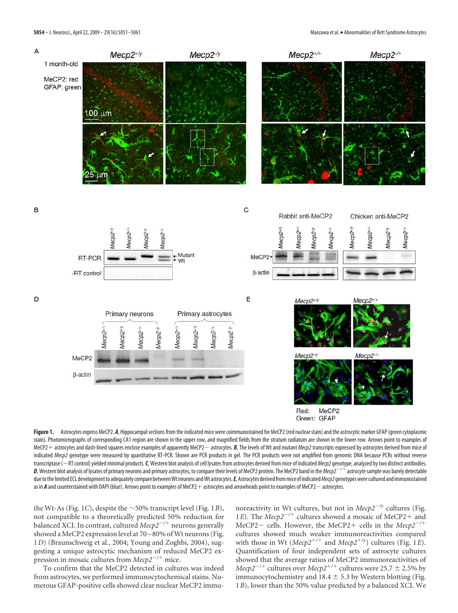

Figure 1. Astrocytes express MeCP2. A, Hippocampal sections from the indicated mice were coimmunostained for MeCP2 (red nuclear stain) and the astrocytic marker GFAP (green cytoplasmic stain). Photomicrographs of corresponding CA1 region are shown in the upper row, and magnified fields from the stratum radiatum are shown in the lower row. Arrows point to examples of MeCP2 + astrocytes and dash-lined squares enclose examples of apparently MeCP2 — astrocytes. *B*, The levels of Wt and mutant *Mecp2* transcripts expressed by astrocytes derived from mice of indicated Mecp2 genotype were measured by quantitative RT-PCR. Shown are PCR products in gel. The PCR products were not amplified from genomic DNA because PCRs without reverse transcriptase (-RT control) yielded minimal products. C, Western blot analysis of cell lysates from astrocytes derived from mice of indicated *Mecp2* genotype, analyzed by two distinct antibodies. *D*, Western blot analysis of lysates of primary neurons and primary astrocytes, to compare their levels of MeCP2 protein. The MeCP2 band in the*Mecp2/*- astrocytesample was barely detectable due to the limited ECL development to adequately compare between Wt neurons and Wt astrocytes. E, Astrocytes derived from mice of indicated *Mecp2* genotypes were cultured and immunostained as in **A** and counterstained with DAPI (blue). Arrows point to examples of MeCP2 + astrocytes and arrowheads point to examples of MeCP2 — astrocytes.

the Wt-As (Fig. 1*C*), despite the  $\sim$  50% transcript level (Fig. 1*B*), not compatible to a theoretically predicted 50% reduction for balanced XCI. In contrast, cultured *Mecp2/*- neurons generally showed a MeCP2 expression level at 70 – 80% of Wt neurons (Fig. 1*D*) (Braunschweig et al., 2004; Young and Zoghbi, 2004), suggesting a unique astrocytic mechanism of reduced MeCP2 expression in mosaic cultures from *Mecp2<sup>-/+</sup>* mice.

To confirm that the MeCP2 detected in cultures was indeed from astrocytes, we performed immunocytochemical stains. Numerous GFAP-positive cells showed clear nuclear MeCP2 immunoreactivity in Wt cultures, but not in  $Mecp2^{-/y}$  cultures (Fig. 1*E*). The *Mecp2<sup>-/+</sup>* cultures showed a mosaic of MeCP2+ and MeCP2- cells. However, the MeCP2+ cells in the *Mecp2<sup>-/+</sup>* cultures showed much weaker immunoreactivities compared with those in Wt ( $Mecp2^{+/+}$  and  $Mecp2^{+/y}$ ) cultures (Fig. 1*E*). Quantification of four independent sets of astrocyte cultures showed that the average ratios of MeCP2 immunoreactivities of  $Mecp2^{-/+}$  cultures over  $Mecp2^{+/+}$  cultures were 25.7  $\pm$  2.5% by immunocytochemistry and  $18.4 \pm 5.3$  by Western blotting (Fig. 1*B*), lower than the 50% value predicted by a balanced XCI. We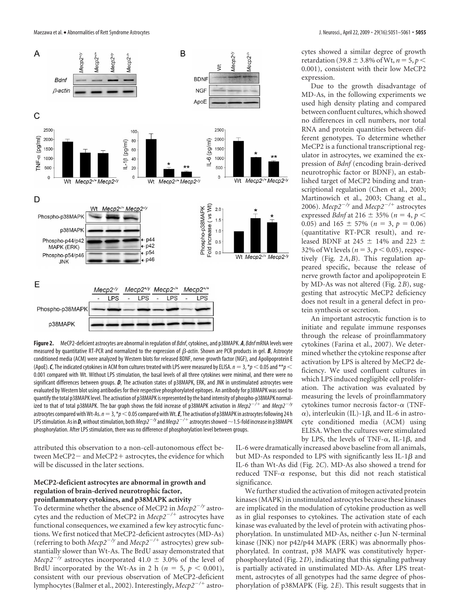Maezawa et al. • Abnormalities of Rett Syndrome Astrocytes J. Neurosci., April 22, 2009 • 29(16):5051–5061 **• 5055**



**Figure 2.** MeCP2-deficient astrocytes are abnormal in regulation of *Bdnf*, cytokines, and p38MAPK. *A*, *Bdnf*mRNA levels were measured by quantitative RT-PCR and normalized to the expression of  $\beta$ -actin. Shown are PCR products in gel. B, Astrocyte conditioned media (ACM) were analyzed by Western blots for released BDNF, nerve growth factor (NGF), and Apolipoprotein E (ApoE).  $C$ , The indicated cytokines in ACM from cultures treated with LPS were measured by ELISA.  $n = 3$ ,  $*p < 0.05$  and  $**p <$ 0.001 compared with Wt. Without LPS stimulation, the basal levels of all three cytokines were minimal, and there were no significant differences between groups. *D*, The activation states of p38MAPK, ERK, and JNK in unstimulated astrocytes were evaluated by Western blot using antibodies for their respective phosphorylated epitopes. An antibody for p38MAPK was used to quantify the total p38MAPK level. The activation of p38MAPK is represented by the band intensity of phospho-p38MAPK normalized to that of total p38MAPK. The bar graph shows the fold increase of p38MAPK activation in  ${\it Mecp2}^{-/+}$  and  ${\it Mecp2}^{-/\nu}$ astrocytes compared with Wt-As.  $n=3$ ,  $*$  $p<$  0.05 compared with Wt. **E**, The activation of p38MAPK in astrocytes following 24 h LPS stimulation. As in **D**, without stimulation, both *Mecp2<sup>—/y</sup>* and *Mecp2<sup>—/+</sup> astrocytes showed*  $\sim$  *1.5-fold increase in p38MAPK* phosphorylation. After LPS stimulation, there was no difference of phosphorylation level between groups.

attributed this observation to a non-cell-autonomous effect between MeCP2 – and MeCP2 + astrocytes, the evidence for which will be discussed in the later sections.

## **MeCP2-deficient astrocytes are abnormal in growth and regulation of brain-derived neurotrophic factor,**

## **proinflammatory cytokines, and p38MAPK activity** To determine whether the absence of MeCP2 in *Mecp2/y* astrocytes and the reduction of MeCP2 in *Mecp2<sup>-/+</sup>* astrocytes have functional consequences, we examined a few key astrocytic functions. We first noticed that MeCP2-deficient astrocytes (MD-As) (referring to both *Mecp2/y* and *Mecp2/*- astrocytes) grew substantially slower than Wt-As. The BrdU assay demonstrated that *Mecp2<sup>* $-$ */y</sup>* astrocytes incorporated 41.0  $\pm$  3.0% of the level of

BrdU incorporated by the Wt-As in 2 h ( $n = 5$ ,  $p < 0.001$ ), consistent with our previous observation of MeCP2-deficient lymphocytes (Balmer et al., 2002). Interestingly, *Mecp2/*- astrocytes showed a similar degree of growth retardation (39.8  $\pm$  3.8% of Wt,  $n = 5, p <$ 0.001), consistent with their low MeCP2 expression.

Due to the growth disadvantage of MD-As, in the following experiments we used high density plating and compared between confluent cultures, which showed no differences in cell numbers, nor total RNA and protein quantities between different genotypes. To determine whether MeCP2 is a functional transcriptional regulator in astrocytes, we examined the expression of *Bdnf* (encoding brain-derived neurotrophic factor or BDNF), an established target of MeCP2 binding and transcriptional regulation (Chen et al., 2003; Martinowich et al., 2003; Chang et al., 2006). *Mecp2/y* and *Mecp2/*- astrocytes expressed *Bdnf* at 216  $\pm$  35% (*n* = 4, *p* < 0.05) and  $165 \pm 57\%$  ( $n = 3$ ,  $p = 0.06$ ) (quantitative RT-PCR result), and released BDNF at 245  $\pm$  14% and 223  $\pm$ 32% of Wt levels ( $n = 3, p < 0.05$ ), respectively (Fig. 2*A*,*B*). This regulation appeared specific, because the release of nerve growth factor and apolipoprotein E by MD-As was not altered (Fig. 2*B*), suggesting that astrocytic MeCP2 deficiency does not result in a general defect in protein synthesis or secretion.

An important astrocytic function is to initiate and regulate immune responses through the release of proinflammatory cytokines (Farina et al., 2007). We determined whether the cytokine response after activation by LPS is altered by MeCP2 deficiency. We used confluent cultures in which LPS induced negligible cell proliferation. The activation was evaluated by measuring the levels of proinflammatory cytokines tumor necrosis factor- $\alpha$  (TNF- $\alpha$ ), interleukin (IL)-1 $\beta$ , and IL-6 in astrocyte conditioned media (ACM) using ELISA. When the cultures were stimulated by LPS, the levels of TNF- $\alpha$ , IL-1 $\beta$ , and

IL-6 were dramatically increased above baseline from all animals, but MD-As responded to LPS with significantly less IL-1 $\beta$  and IL-6 than Wt-As did (Fig. 2*C*). MD-As also showed a trend for reduced TNF- $\alpha$  response, but this did not reach statistical significance.

We further studied the activation of mitogen activated protein kinases (MAPK) in unstimulated astrocytes because these kinases are implicated in the modulation of cytokine production as well as in glial responses to cytokines. The activation state of each kinase was evaluated by the level of protein with activating phosphorylation. In unstimulated MD-As, neither c-Jun N-terminal kinase (JNK) nor p42/p44 MAPK (ERK) was abnormally phosphorylated. In contrast, p38 MAPK was constitutively hyperphosphorylated (Fig. 2*D*), indicating that this signaling pathway is partially activated in unstimulated MD-As. After LPS treatment, astrocytes of all genotypes had the same degree of phosphorylation of p38MAPK (Fig. 2*E*). This result suggests that in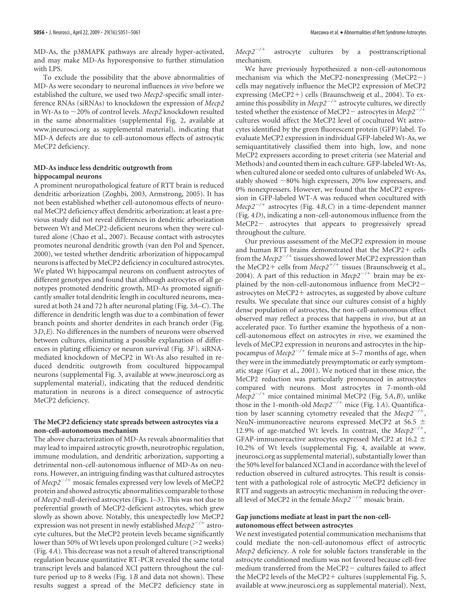MD-As, the p38MAPK pathways are already hyper-activated, and may make MD-As hyporesponsive to further stimulation with LPS.

To exclude the possibility that the above abnormalities of MD-As were secondary to neuronal influences *in vivo* before we established the culture, we used two *Mecp2*-specific small interference RNAs (siRNAs) to knockdown the expression of *Mecp2* in Wt-As to 20% of control levels. *Mecp2* knockdown resulted in the same abnormalities (supplemental Fig. 2, available at www.jneurosci.org as supplemental material), indicating that MD-A defects are due to cell-autonomous effects of astrocytic MeCP2 deficiency.

### **MD-As induce less dendritic outgrowth from hippocampal neurons**

A prominent neuropathological feature of RTT brain is reduced dendritic arborization (Zoghbi, 2003, Armstrong, 2005). It has not been established whether cell-autonomous effects of neuronal MeCP2 deficiency affect dendritic arborization; at least a previous study did not reveal differences in dendritic arborization between Wt and MeCP2-deficient neurons when they were cultured alone (Chao et al., 2007). Because contact with astrocytes promotes neuronal dendritic growth (van den Pol and Spencer, 2000), we tested whether dendritic arborization of hippocampal neurons is affected by MeCP2 deficiency in cocultured astrocytes. We plated Wt hippocampal neurons on confluent astrocytes of different genotypes and found that although astrocytes of all genotypes promoted dendritic growth, MD-As promoted significantly smaller total dendritic length in cocultured neurons, measured at both 24 and 72 h after neuronal plating (Fig. 3*A–C*). The difference in dendritic length was due to a combination of fewer branch points and shorter dendrites in each branch order (Fig. 3*D*,*E*). No differences in the numbers of neurons were observed between cultures, eliminating a possible explanation of differences in plating efficiency or neuron survival (Fig. 3*F*). siRNAmediated knockdown of MeCP2 in Wt-As also resulted in reduced dendritic outgrowth from cocultured hippocampal neurons (supplemental Fig. 3, available at www.jneurosci.org as supplemental material), indicating that the reduced dendritic maturation in neurons is a direct consequence of astrocytic MeCP2 deficiency.

#### **The MeCP2 deficiency state spreads between astrocytes via a non-cell-autonomous mechanism**

The above characterization of MD-As reveals abnormalities that may lead to impaired astrocytic growth, neurotrophic regulation, immune modulation, and dendritic arborization, supporting a detrimental non-cell-autonomous influence of MD-As on neurons. However, an intriguing finding was that cultured astrocytes of *Mecp2/*- mosaic females expressed very low levels of MeCP2 protein and showed astrocytic abnormalities comparable to those of *Mecp2-*null-derived astrocytes (Figs. 1–3). This was not due to preferential growth of MeCP2-deficient astrocytes, which grew slowly as shown above. Notably, this unexpectedly low MeCP2 expression was not present in newly established *Mecp2/*- astrocyte cultures, but the MeCP2 protein levels became significantly lower than 50% of Wt levels upon prolonged culture  $(>2$  weeks) (Fig. 4*A*). This decrease was not a result of altered transcriptional regulation because quantitative RT-PCR revealed the same total transcript levels and balanced XCI pattern throughout the culture period up to 8 weeks (Fig. 1*B* and data not shown). These results suggest a spread of the MeCP2 deficiency state in

*Mecp2/* astrocyte cultures by a posttranscriptional mechanism.

We have previously hypothesized a non-cell-autonomous mechanism via which the MeCP2-nonexpressing  $(MeCP2-)$ cells may negatively influence the MeCP2 expression of MeCP2 expressing (MeCP2+) cells (Braunschweig et al., 2004). To examine this possibility in *Mecp2<sup>-/+</sup>* astrocyte cultures, we directly tested whether the existence of MeCP2 – astrocytes in *Mecp2<sup>-/+</sup>* cultures would affect the MeCP2 level of cocultured Wt astrocytes identified by the green fluorescent protein (GFP) label. To evaluate MeCP2 expression in individual GFP-labeled Wt-As, we semiquantitatively classified them into high, low, and none MeCP2 expressers according to preset criteria (see Material and Methods) and counted them in each culture. GFP-labeled Wt-As, when cultured alone or seeded onto cultures of unlabeled Wt-As, stably showed  $\sim$ 80% high expressers, 20% low expressers, and 0% nonexpressers. However, we found that the MeCP2 expression in GFP-labeled WT-A was reduced when cocultured with *Mecp2/*- astrocytes (Fig. 4*B*,*C*) in a time-dependent manner (Fig. 4*D*), indicating a non-cell-autonomous influence from the MeCP2- astrocytes that appears to progressively spread throughout the culture.

Our previous assessment of the MeCP2 expression in mouse and human RTT brains demonstrated that the MeCP2+ cells from the *Mecp2<sup>-/+</sup>* tissues showed lower MeCP2 expression than the MeCP2+ cells from *Mecp2<sup>+/+</sup>* tissues (Braunschweig et al., 2004). A part of this reduction in  $Mecp2^{-7+}$  brain may be explained by the non-cell-autonomous influence from MeCP2 astrocytes on MeCP2+ astrocytes, as suggested by above culture results. We speculate that since our cultures consist of a highly dense population of astrocytes, the non-cell-autonomous effect observed may reflect a process that happens *in vivo*, but at an accelerated pace. To further examine the hypothesis of a noncell-autonomous effect on astrocytes *in vivo*, we examined the levels of MeCP2 expression in neurons and astrocytes in the hippocampus of *Mecp*<sup>2-/+</sup> female mice at 5–7 months of age, when they were in the immediately presymptomatic or early symptomatic stage (Guy et al., 2001). We noticed that in these mice, the MeCP2 reduction was particularly pronounced in astrocytes compared with neurons. Most astrocytes in 7-month-old *Mecp2/*- mice contained minimal MeCP2 (Fig. 5*A*,*B*), unlike those in the 1-month-old *Mecp2/*- mice (Fig. 1*A*). Quantification by laser scanning cytometry revealed that the *Mecp2/*-, NeuN-immunoreactive neurons expressed MeCP2 at 56.5 12.9% of age-matched Wt levels. In contrast, the  $Mecp2^{-/+}$ , GFAP-immunoreactive astrocytes expressed MeCP2 at 16.2  $\pm$ 10.2% of Wt levels (supplemental Fig. 4, available at www. jneurosci.org as supplemental material), substantially lower than the 50% level for balanced XCI and in accordance with the level of reduction observed in cultured astrocytes. This result is consistent with a pathological role of astrocytic MeCP2 deficiency in RTT and suggests an astrocytic mechanism in reducing the overall level of MeCP2 in the female  $Mecp2^{-/+}$  mosaic brain.

### **Gap junctions mediate at least in part the non-cellautonomous effect between astrocytes**

We next investigated potential communication mechanisms that could mediate the non-cell-autonomous effect of astrocytic *Mecp2* deficiency. A role for soluble factors transferable in the astrocyte conditioned medium was not favored because cell-free medium transferred from the MeCP2- cultures failed to affect the MeCP2 levels of the MeCP2+ cultures (supplemental Fig. 5, available at www.jneurosci.org as supplemental material). Next,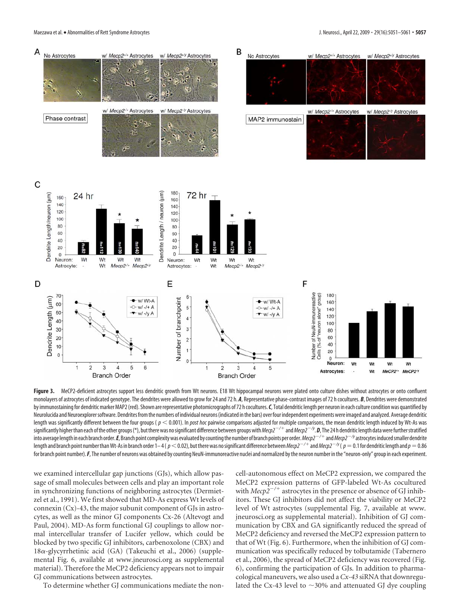Maezawa et al. • Abnormalities of Rett Syndrome Astrocytes **J. Neurosci., April 22, 2009 • 29(16):5051** – 5061 **• 5057** 



Figure 3. MeCP2-deficient astrocytes support less dendritic growth from Wt neurons. E18 Wt hippocampal neurons were plated onto culture dishes without astrocytes or onto confluent monolayers of astrocytes of indicated genotype. The dendrites were allowed to grow for 24 and 72 h. *A*, Representative phase-contrast images of 72 h cocultures. *B*, Dendrites were demonstrated by immunostaining for dendritic marker MAP2 (red). Shown are representative photomicrographs of 72 h cocultures. C. Total dendritic length per neuron in each culture condition was quantified by Neurolucida and Neuroexplorer software. Dendrites from the numbers of individual neurons (indicated in the bars) over four independent experiments were imaged and analyzed. Average dendritic length was significantly different between the four groups ( $p < 0.001$ ). In *post hoc* pairwise comparisons adjusted for multiple comparisons, the mean dendritic length induced by Wt-As was significantly higher than each of the other groups (\*), but there was no significant difference between groups with  $\textit{Mecp2}^{-/+}$  and  $\textit{Mecp2}^{-/+}$ . **D,** The 24 h dendritic length data were further stratified into average length in each branch order.*E*,Branch point complexitywas evaluated by countingthe number of branch points per order.*Mecp2/*-and*Mecp2/y*astrocytes inducedsmaller dendrite length and branch point number than Wt-As in branch order 1– 4 (  $p$   $<$  0.02), but there was no significant difference between *Mecp2<sup>–/+</sup>* and *Mecp2<sup>–/y</sup> (*  $p$   $=$  0.1 for dendritic length and  $p$   $=$  0.86 for branch point number). F, The number of neurons was obtained by counting NeuN-immunoreactive nuclei and normalized by the neuron number in the "neuron-only" group in each experiment.

we examined intercellular gap junctions (GJs), which allow passage of small molecules between cells and play an important role in synchronizing functions of neighboring astrocytes (Dermietzel et al., 1991). We first showed that MD-As express Wt levels of connexin (Cx)-43, the major subunit component of GJs in astrocytes, as well as the minor GJ components Cx-26 (Altevogt and Paul, 2004). MD-As form functional GJ couplings to allow normal intercellular transfer of Lucifer yellow, which could be blocked by two specific GJ inhibitors, carbenoxolone (CBX) and  $18\alpha$ -glycyrrhetinic acid (GA) (Takeuchi et al., 2006) (supplemental Fig. 6, available at www.jneurosci.org as supplemental material). Therefore the MeCP2 deficiency appears not to impair GJ communications between astrocytes.

To determine whether GJ communications mediate the non-

cell-autonomous effect on MeCP2 expression, we compared the MeCP2 expression patterns of GFP-labeled Wt-As cocultured with *Mecp2<sup>-/+</sup>* astrocytes in the presence or absence of GJ inhibitors. These GJ inhibitors did not affect the viability or MeCP2 level of Wt astrocytes (supplemental Fig. 7, available at www. jneurosci.org as supplemental material). Inhibition of GJ communication by CBX and GA significantly reduced the spread of MeCP2 deficiency and reversed the MeCP2 expression pattern to that of Wt (Fig. 6). Furthermore, when the inhibition of GJ communication was specifically reduced by tolbutamide (Tabernero et al., 2006), the spread of MeCP2 deficiency was recovered (Fig. 6), confirming the participation of GJs. In addition to pharmacological maneuvers, we also used a *Cx-43* siRNA that downregulated the Cx-43 level to  $\sim$ 30% and attenuated GJ dye coupling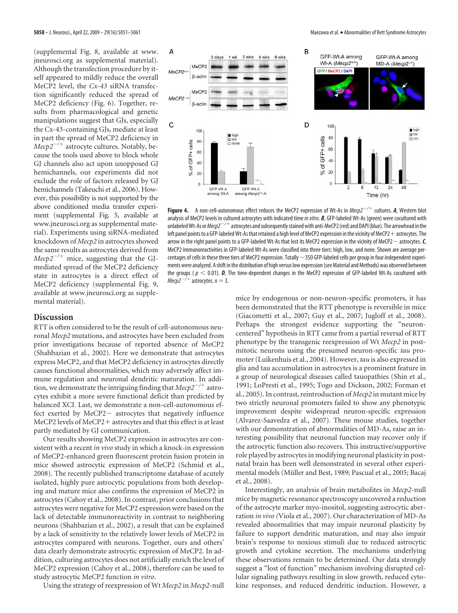(supplemental Fig. 8, available at www. jneurosci.org as supplemental material). Although the transfection procedure by itself appeared to mildly reduce the overall MeCP2 level, the *Cx-43* siRNA transfection significantly reduced the spread of MeCP2 deficiency (Fig. 6). Together, results from pharmacological and genetic manipulations suggest that GJs, especially the Cx-43-containing GJs, mediate at least in part the spread of MeCP2 deficiency in *Mecp2/*- astrocyte cultures. Notably, because the tools used above to block whole GJ channels also act upon unopposed GJ hemichannels, our experiments did not exclude the role of factors released by GJ hemichannels (Takeuchi et al., 2006). However, this possibility is not supported by the above conditioned media transfer experiment (supplemental Fig. 5, available at www.jneurosci.org as supplemental material). Experiments using siRNA-mediated knockdown of *Mecp2* in astrocytes showed the same results as astrocytes derived from *Mecp2/*- mice, suggesting that the GJmediated spread of the MeCP2 deficiency state in astrocytes is a direct effect of MeCP2 deficiency (supplemental Fig. 9, available at www.jneurosci.org as supplemental material).



**Figure 4.** A non-cell-autonomous effect reduces the MeCP2 expression of Wt-As in *Mecp2/*- cultures. *A*, Western blot analysis of MeCP2 levels in cultured astrocytes with indicated time*in vitro*. *B*, GFP-labeled Wt-As (green) were cocultured with unlabeled Wt-As or *Mecp2<sup>-/+</sup> astrocytes and subsequently stained with anti-MeCP2 (red) and DAPI (blue). The arrowhead in the* left panel points to a GFP-labeled Wt-As that retained a high level of MeCP2 expression in the vicinity of MeCP2-astrocytes. The arrow in the right panel points to a GFP-labeled Wt-As that lost its MeCP2 expression in the vicinity of MeCP2 astrocytes.*C*, MeCP2 immunoreactivities in GFP-labeled Wt-As were classified into three tiers: high, low, and none. Shown are average percentages of cells in these three tiers of MeCP2 expression. Totally  $\sim$ 350 GFP-labeled cells per group in four independent experiments were analyzed. Ashift in the distribution of high versus low expression (see Material and Methods) was observed between the groups ( $p < 0.01$ ). *D*, The time-dependent changes in the MeCP2 expression of GFP-labeled Wt-As cocultured with  $Mecp2^{-/+}$  astrocytes.  $n = 3$ .

## **Discussion**

RTT is often considered to be the result of cell-autonomous neuronal *Mecp2* mutations, and astrocytes have been excluded from prior investigations because of reported absence of MeCP2 (Shahbazian et al., 2002). Here we demonstrate that astrocytes express MeCP2, and that MeCP2 deficiency in astrocytes directly causes functional abnormalities, which may adversely affect immune regulation and neuronal dendritic maturation. In addition, we demonstrate the intriguing finding that *Mecp2/*- astrocytes exhibit a more severe functional deficit than predicted by balanced XCI. Last, we demonstrate a non-cell-autonomous effect exerted by MeCP2- astrocytes that negatively influence MeCP2 levels of MeCP2- astrocytes and that this effect is at least partly mediated by GJ communication.

Our results showing MeCP2 expression in astrocytes are consistent with a recent *in vivo* study in which a knock-in expression of MeCP2-enhanced green fluorescent protein fusion protein in mice showed astrocytic expression of MeCP2 (Schmid et al., 2008). The recently published transcriptome database of acutely isolated, highly pure astrocytic populations from both developing and mature mice also confirms the expression of MeCP2 in astrocytes (Cahoy et al., 2008). In contrast, prior conclusions that astrocytes were negative for MeCP2 expression were based on the lack of detectable immunoreactivity in contrast to neighboring neurons (Shahbazian et al., 2002), a result that can be explained by a lack of sensitivity to the relatively lower levels of MeCP2 in astrocytes compared with neurons. Together, ours and others' data clearly demonstrate astrocytic expression of MeCP2. In addition, culturing astrocytes does not artificially enrich the level of MeCP2 expression (Cahoy et al., 2008), therefore can be used to study astrocytic MeCP2 function *in vitro*.

Using the strategy of reexpression of Wt *Mecp2* in *Mecp2*-null

mice by endogenous or non-neuron-specific promoters, it has been demonstrated that the RTT phenotype is reversible in mice (Giacometti et al., 2007; Guy et al., 2007; Jugloff et al., 2008). Perhaps the strongest evidence supporting the "neuroncentered" hypothesis in RTT came from a partial reversal of RTT phenotype by the transgenic reexpression of Wt *Mecp2* in postmitotic neurons using the presumed neuron-specific *tau* promoter (Luikenhuis et al., 2004). However, *tau* is also expressed in glia and tau accumulation in astrocytes is a prominent feature in a group of neurological diseases called tauopathies (Shin et al., 1991; LoPresti et al., 1995; Togo and Dickson, 2002; Forman et al., 2005). In contrast, reintroduction of *Mecp2* in mutant mice by two strictly neuronal promoters failed to show any phenotypic improvement despite widespread neuron-specific expression (Alvarez-Saavedra et al., 2007). These mouse studies, together with our demonstration of abnormalities of MD-As, raise an interesting possibility that neuronal function may recover only if the astrocytic function also recovers. This instructive/supportive role played by astrocytes in modifying neuronal plasticity in postnatal brain has been well demonstrated in several other experimental models (Müller and Best, 1989; Pascual et al., 2005; Bacaj et al., 2008).

Interestingly, an analysis of brain metabolites in *Mecp2*-null mice by magnetic resonance spectroscopy uncovered a reduction of the astrocyte marker myo-inositol, suggesting astrocytic aberration *in vivo (*Viola et al., 2007). Our characterization of MD-As revealed abnormalities that may impair neuronal plasticity by failure to support dendritic maturation, and may also impair brain's response to noxious stimuli due to reduced astrocytic growth and cytokine secretion. The mechanisms underlying these observations remain to be determined. Our data strongly suggest a "lost of function" mechanism involving disrupted cellular signaling pathways resulting in slow growth, reduced cytokine responses, and reduced dendritic induction. However, a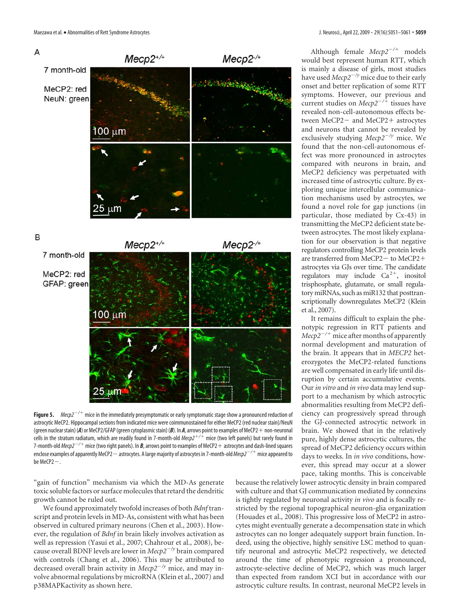

Figure 5. *Mecp2<sup>-/+</sup>* mice in the immediately presymptomatic or early symptomatic stage show a pronounced reduction of astrocytic MeCP2. Hippocampal sections from indicated mice were coimmunostained for either MeCP2 (red nuclear stain)/NeuN (green nuclearstain) (*A*) or MeCP2/GFAP (green cytoplasmicstain) (*B*). In *A*, arrows point to examples of MeCP2-non-neuronal cells in the stratum radiatum, which are readily found in 7-month-old *Mecp2*-*/*- mice (two left panels) but rarely found in 7-month-old *Mecp2* $^{-/+}$  *m*ice (two right panels). In *B*, arrows point to examples of MeCP2  $+$  astrocytes and dash-lined squares enclose examples of apparently MeCP2 — astrocytes. A large majority of astrocytes in 7-month-old *Mecp2<sup>—/+</sup> mice appeared to* be  $MeCP2-$ .

"gain of function" mechanism via which the MD-As generate toxic soluble factors or surface molecules that retard the dendritic growth cannot be ruled out.

We found approximately twofold increases of both *Bdnf* transcript and protein levels in MD-As, consistent with what has been observed in cultured primary neurons (Chen et al., 2003). However, the regulation of *Bdnf* in brain likely involves activation as well as repression (Yasui et al., 2007; Chahrour et al., 2008), because overall BDNF levels are lower in *Mecp2/y* brain compared with controls (Chang et al., 2006). This may be attributed to decreased overall brain activity in *Mecp2/y* mice, and may involve abnormal regulations by microRNA (Klein et al., 2007) and p38MAPKactivity as shown here.

Although female  $Mecp2^{-/+}$  models would best represent human RTT, which is mainly a disease of girls, most studies have used *Mecp2<sup>-/y</sup>* mice due to their early onset and better replication of some RTT symptoms. However, our previous and current studies on *Mecp2/*- tissues have revealed non-cell-autonomous effects between MeCP2 – and MeCP2 + astrocytes and neurons that cannot be revealed by exclusively studying *Mecp2<sup>-/y</sup>* mice. We found that the non-cell-autonomous effect was more pronounced in astrocytes compared with neurons in brain, and MeCP2 deficiency was perpetuated with increased time of astrocytic culture. By exploring unique intercellular communication mechanisms used by astrocytes, we found a novel role for gap junctions (in particular, those mediated by Cx-43) in transmitting the MeCP2 deficient state between astrocytes. The most likely explanation for our observation is that negative regulators controlling MeCP2 protein levels are transferred from MeCP2- to MeCP2+ astrocytes via GJs over time. The candidate regulators may include  $Ca^{2+}$ , inositol trisphosphate, glutamate, or small regulatory miRNAs, such as miR132 that posttranscriptionally downregulates MeCP2 (Klein et al., 2007).

It remains difficult to explain the phenotypic regression in RTT patients and *Mecp2/*- mice after months of apparently normal development and maturation of the brain. It appears that in *MECP2* heterozygotes the MeCP2-related functions are well compensated in early life until disruption by certain accumulative events. Our*in vitro* and *in vivo* data may lend support to a mechanism by which astrocytic abnormalities resulting from MeCP2 deficiency can progressively spread through the GJ-connected astrocytic network in brain. We showed that in the relatively pure, highly dense astrocytic cultures, the spread of MeCP2 deficiency occurs within days to weeks. In *in vivo* conditions, however, this spread may occur at a slower pace, taking months. This is conceivable

because the relatively lower astrocytic density in brain compared with culture and that GJ communication mediated by connexins is tightly regulated by neuronal activity *in vivo* and is focally restricted by the regional topographical neuron-glia organization (Houades et al., 2008). This progressive loss of MeCP2 in astrocytes might eventually generate a decompensation state in which astrocytes can no longer adequately support brain function. Indeed, using the objective, highly sensitive LSC method to quantify neuronal and astrocytic MeCP2 respectively, we detected around the time of phenotypic regression a pronounced, astrocyte-selective decline of MeCP2, which was much larger than expected from random XCI but in accordance with our astrocytic culture results. In contrast, neuronal MeCP2 levels in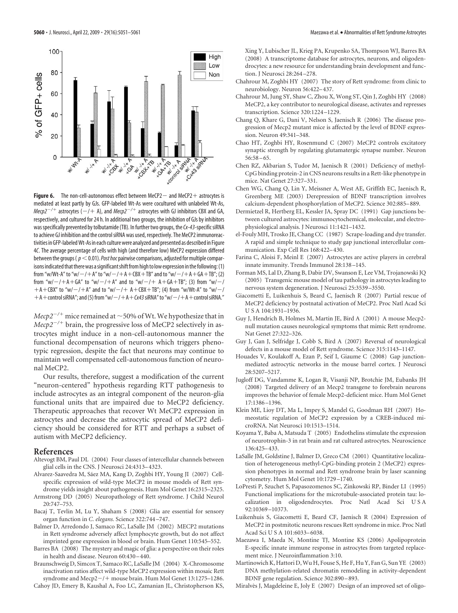

**Figure 6.** The non-cell-autonomous effect between MeCP2 — and MeCP2 + astrocytes is mediated at least partly by GJs. GFP-labeled Wt-As were cocultured with unlabeled Wt-As,  $Mecp2^{-/+}$  astrocytes ( $-/+$  A), and  $Mecp2^{-/+}$  astrocytes with GJ inhibitors CBX and GA, respectively, and cultured for 24 h. In additional two groups, the inhibition of GJs by inhibitors wasspecifically prevented by tolbutamide (TB). In further two groups, the*Cx-43*-specificsiRNA to achieve GJ inhibition and the control siRNA was used, respectively. The MeCP2 immunoreactivities in GFP-labeledWt-As in each culturewere analyzed and presented as described in Figure 4*C*. The average percentage of cells with high (and therefore low) MeCP2 expression differed between the groups ( $p<$  0.01). Post hoc pairwise comparisons, adjusted for multiple comparisons indicated that there was a significant shift from high to low expression in the following: (1) from "w/Wt-A" to "w/ $-$ / $+$ A" to "w/ $-$ / $+$ A $+$ CBX $+$ TB" and to "w/ $-$ / $+$ A $+$ GA $+$ TB"; (2) from "w/ $-$ / $+$ A $+$ GA" to "w/ $-$ / $+$ A" and to "w/ $-$ / $+$  A $+$ GA $+$ TB"; (3) from "w/ $-$ /  $+A+CBX''$  to "w/ $-$ / $+A''$  and to "w/ $-$ / $+A+CBX+TB''$ ; (4) from "w/Wt-A" to "w/ $-$ /  $+A+$  control siRNA"; and (5) from "w/ $-$ / $+A+$   $Cx43$  siRNA" to "w/ $-$ / $+A+$  control siRNA."

 $Mecp2^{-/+}$  mice remained at  $\sim$  50% of Wt. We hypothesize that in *Mecp2/*- brain, the progressive loss of MeCP2 selectively in astrocytes might induce in a non-cell-autonomous manner the functional decompensation of neurons which triggers phenotypic regression, despite the fact that neurons may continue to maintain well compensated cell-autonomous function of neuronal MeCP2.

Our results, therefore, suggest a modification of the current "neuron-centered" hypothesis regarding RTT pathogenesis to include astrocytes as an integral component of the neuron-glia functional units that are impaired due to MeCP2 deficiency. Therapeutic approaches that recover Wt MeCP2 expression in astrocytes and decrease the astrocytic spread of MeCP2 deficiency should be considered for RTT and perhaps a subset of autism with MeCP2 deficiency.

#### **References**

- Altevogt BM, Paul DL (2004) Four classes of intercellular channels between glial cells in the CNS. J Neurosci 24:4313–4323.
- Alvarez-Saavedra M, Sáez MA, Kang D, Zoghbi HY, Young JI (2007) Cellspecific expression of wild-type MeCP2 in mouse models of Rett syndrome yields insight about pathogenesis. Hum Mol Genet 16:2315–2325.
- Armstrong DD (2005) Neuropathology of Rett syndrome. J Child Neurol 20:747–753.
- Bacaj T, Tevlin M, Lu Y, Shaham S (2008) Glia are essential for sensory organ function in *C. elegans.* Science 322:744 –747.
- Balmer D, Arredondo J, Samaco RC, LaSalle JM (2002) MECP2 mutations in Rett syndrome adversely affect lymphocyte growth, but do not affect imprinted gene expression in blood or brain. Hum Genet 110:545–552.
- Barres BA (2008) The mystery and magic of glia: a perspective on their roles in health and disease. Neuron 60:430 –440.
- Braunschweig D, Simcox T, Samaco RC, LaSalle JM (2004) X-Chromosome inactivation ratios affect wild-type MeCP2 expression within mosaic Rett syndrome and Mecp2-/+ mouse brain. Hum Mol Genet 13:1275-1286. Cahoy JD, Emery B, Kaushal A, Foo LC, Zamanian JL, Christopherson KS,

**5060 •** J. Neurosci., April 22, 2009 • 29(16):5051–5061 Maezawa et al. • Abnormalities of Rett Syndrome Astrocytes

Xing Y, Lubischer JL, Krieg PA, Krupenko SA, Thompson WJ, Barres BA (2008) A transcriptome database for astrocytes, neurons, and oligodendrocytes: a new resource for understanding brain development and function. J Neurosci 28:264 –278.

- Chahrour M, Zoghbi HY (2007) The story of Rett syndrome: from clinic to neurobiology. Neuron 56:422–437.
- Chahrour M, Jung SY, Shaw C, Zhou X, Wong ST, Qin J, Zoghbi HY (2008) MeCP2, a key contributor to neurological disease, activates and represses transcription. Science 320:1224 –1229.
- Chang Q, Khare G, Dani V, Nelson S, Jaenisch R (2006) The disease progression of Mecp2 mutant mice is affected by the level of BDNF expression. Neuron 49:341–348.
- Chao HT, Zoghbi HY, Rosenmund C (2007) MeCP2 controls excitatory synaptic strength by regulating glutamatergic synapse number. Neuron  $56:58 - 65.$
- Chen RZ, Akbarian S, Tudor M, Jaenisch R (2001) Deficiency of methyl-CpG binding protein-2 in CNS neurons results in a Rett-like phenotype in mice. Nat Genet 27:327–331.
- Chen WG, Chang Q, Lin Y, Meissner A, West AE, Griffith EC, Jaenisch R, Greenberg ME (2003) Derepression of BDNF transcription involves calcium-dependent phosphorylation of MeCP2. Science 302:885–889.
- Dermietzel R, Hertberg EL, Kessler JA, Spray DC (1991) Gap junctions between cultured astrocytes: immunocytochemical, molecular, and electrophysiological analysis. J Neurosci 11:1421–1432.
- el-Fouly MH, Trosko JE, Chang CC (1987) Scrape-loading and dye transfer. A rapid and simple technique to study gap junctional intercellular communication. Exp Cell Res 168:422–430.
- Farina C, Aloisi F, Meinl E (2007) Astrocytes are active players in cerebral innate immunity. Trends Immunol 28:138 –145.
- Forman MS, Lal D, Zhang B, Dabir DV, Swanson E, Lee VM, Trojanowski JQ (2005) Transgenic mouse model of tau pathology in astrocytes leading to nervous system degeneration. J Neurosci 25:3539 –3550.
- Giacometti E, Luikenhuis S, Beard C, Jaenisch R (2007) Partial rescue of MeCP2 deficiency by postnatal activation of MeCP2. Proc Natl Acad Sci U S A 104:1931–1936.
- Guy J, Hendrich B, Holmes M, Martin JE, Bird A (2001) A mouse Mecp2 null mutation causes neurological symptoms that mimic Rett syndrome. Nat Genet 27:322–326.
- Guy J, Gan J, Selfridge J, Cobb S, Bird A (2007) Reversal of neurological defects in a mouse model of Rett syndrome. Science 315:1143–1147.
- Houades V, Koulakoff A, Ezan P, Seif I, Giaume C (2008) Gap junctionmediated astrocytic networks in the mouse barrel cortex. J Neurosci 28:5207–5217.
- Jugloff DG, Vandamme K, Logan R, Visanji NP, Brotchie JM, Eubanks JH (2008) Targeted delivery of an Mecp2 transgene to forebrain neurons improves the behavior of female Mecp2-deficient mice. Hum Mol Genet 17:1386 –1396.
- Klein ME, Lioy DT, Ma L, Impey S, Mandel G, Goodman RH (2007) Homeostatic regulation of MeCP2 expression by a CREB-induced microRNA. Nat Neurosci 10:1513–1514.
- Koyama Y, Baba A, Matsuda T (2005) Endothelins stimulate the expression of neurotrophin-3 in rat brain and rat cultured astrocytes. Neuroscience 136:425–433.
- LaSalle JM, Goldstine J, Balmer D, Greco CM (2001) Quantitative localization of heterogeneous methyl-CpG-binding protein 2 (MeCP2) expression phenotypes in normal and Rett syndrome brain by laser scanning cytometry. Hum Mol Genet 10:1729 –1740.
- LoPresti P, Szuchet S, Papasozomenos SC, Zinkowski RP, Binder LI (1995) Functional implications for the microtubule-associated protein tau: localization in oligodendrocytes. Proc Natl Acad Sci U S A 92:10369 –10373.
- Luikenhuis S, Giacometti E, Beard CF, Jaenisch R (2004) Expression of MeCP2 in postmitotic neurons rescues Rett syndrome in mice. Proc Natl Acad Sci U S A 101:6033–6038.
- Maezawa I, Maeda N, Montine TJ, Montine KS (2006) Apolipoprotein E-specific innate immune response in astrocytes from targeted replacement mice. J Neuroinflammation 3:10.
- Martinowich K, Hattori D, Wu H, Fouse S, He F, Hu Y, Fan G, Sun YE (2003) DNA methylation-related chromatin remodeling in activity-dependent BDNF gene regulation. Science 302:890 –893.
- Miralvès J, Magdeleine E, Joly E (2007) Design of an improved set of oligo-